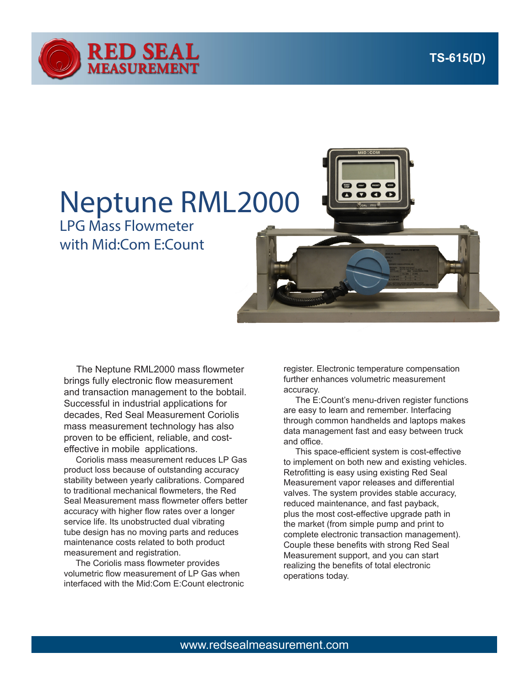

## Neptune RML2000

LPG Mass Flowmeter with Mid:Com E:Count



 The Neptune RML2000 mass flowmeter brings fully electronic flow measurement and transaction management to the bobtail. Successful in industrial applications for decades, Red Seal Measurement Coriolis mass measurement technology has also proven to be efficient, reliable, and costeffective in mobile applications.

 Coriolis mass measurement reduces LP Gas product loss because of outstanding accuracy stability between yearly calibrations. Compared to traditional mechanical flowmeters, the Red Seal Measurement mass flowmeter offers better accuracy with higher flow rates over a longer service life. Its unobstructed dual vibrating tube design has no moving parts and reduces maintenance costs related to both product measurement and registration.

 The Coriolis mass flowmeter provides volumetric flow measurement of LP Gas when interfaced with the Mid:Com E:Count electronic

register. Electronic temperature compensation further enhances volumetric measurement accuracy.

 The E:Count's menu-driven register functions are easy to learn and remember. Interfacing through common handhelds and laptops makes data management fast and easy between truck and office.

 This space-efficient system is cost-effective to implement on both new and existing vehicles. Retrofitting is easy using existing Red Seal Measurement vapor releases and differential valves. The system provides stable accuracy, reduced maintenance, and fast payback, plus the most cost-effective upgrade path in the market (from simple pump and print to complete electronic transaction management). Couple these benefits with strong Red Seal Measurement support, and you can start realizing the benefits of total electronic operations today.